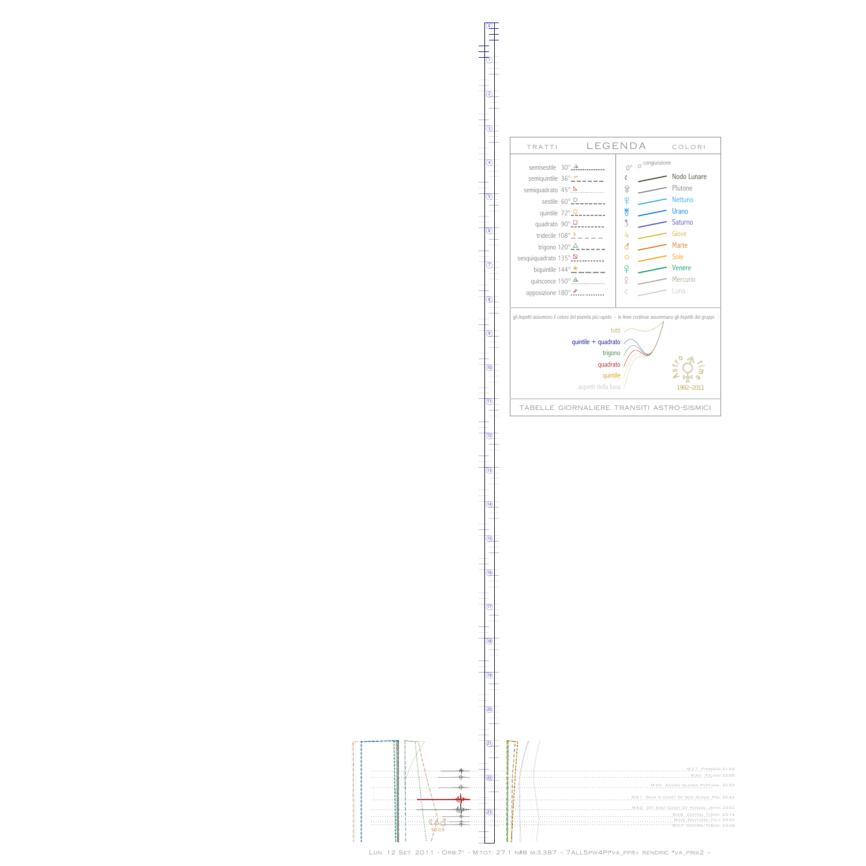

Lun. 12 Set. 2011 - Orb:7° - M.tot: 27.1 n#8 m:3.387 -: 7All5pw4Pi\*va\_ppr+ rendric \*va\_prix2 :-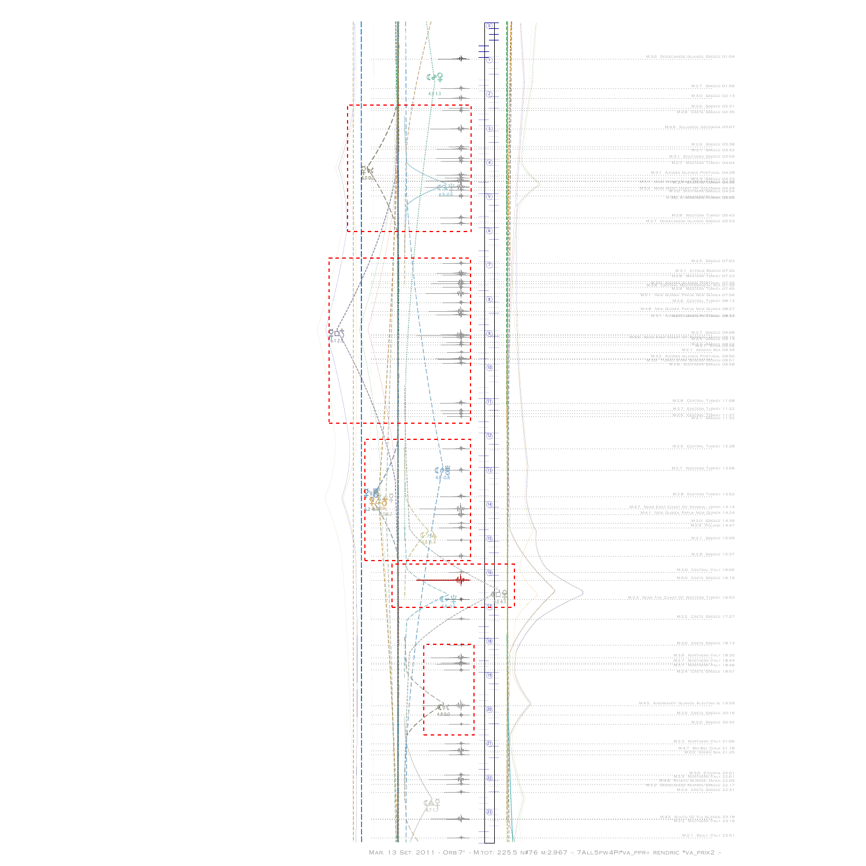

MAR. 13 SET. 2011 - ORB:7° - M.TOT: 225.5 N#76 M:2.967 -: 7ALL5PW4PI\*VA\_PPR+ RENDRIC \*VA\_PRIX2